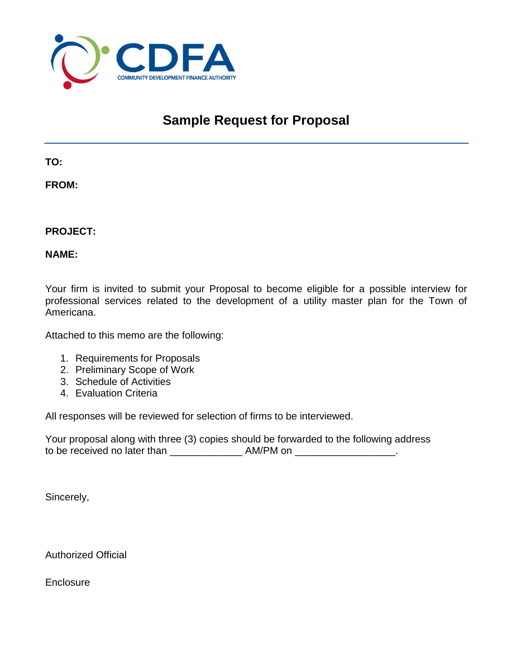

## **Sample Request for Proposal**

**TO:**

**FROM:**

**PROJECT:**

**NAME:**

Your firm is invited to submit your Proposal to become eligible for a possible interview for professional services related to the development of a utility master plan for the Town of Americana.

Attached to this memo are the following:

- 1. Requirements for Proposals
- 2. Preliminary Scope of Work
- 3. Schedule of Activities
- 4. Evaluation Criteria

All responses will be reviewed for selection of firms to be interviewed.

Your proposal along with three (3) copies should be forwarded to the following address to be received no later than \_\_\_\_\_\_\_\_\_\_\_\_\_ AM/PM on \_\_\_\_\_\_\_\_\_\_\_\_\_\_\_\_\_\_.

Sincerely,

Authorized Official

**Enclosure**